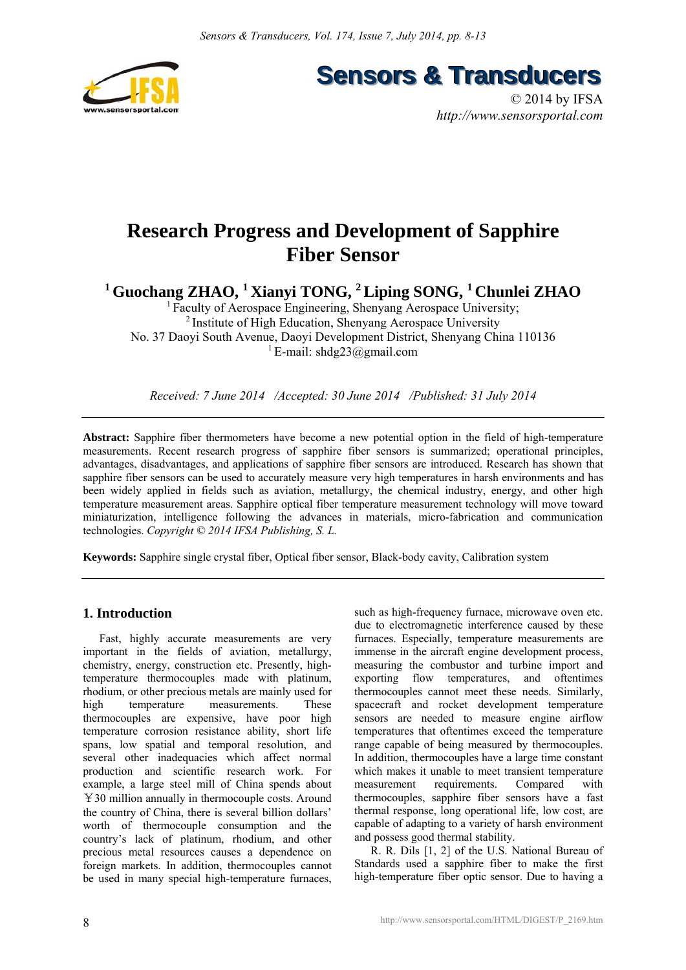

**Sensors & Transducers** 

© 2014 by IFSA *http://www.sensorsportal.com*

# **Research Progress and Development of Sapphire Fiber Sensor**

<sup>1</sup> Guochang ZHAO, <sup>1</sup> Xianyi TONG, <sup>2</sup> Liping SONG, <sup>1</sup> Chunlei ZHAO

<sup>1</sup> Faculty of Aerospace Engineering, Shenyang Aerospace University; 2 Institute of High Education, Shenyang Aerospace University No. 37 Daoyi South Avenue, Daoyi Development District, Shenyang China 110136 <sup>1</sup> E-mail: shdg23@gmail.com

*Received: 7 June 2014 /Accepted: 30 June 2014 /Published: 31 July 2014*

**Abstract:** Sapphire fiber thermometers have become a new potential option in the field of high-temperature measurements. Recent research progress of sapphire fiber sensors is summarized; operational principles, advantages, disadvantages, and applications of sapphire fiber sensors are introduced. Research has shown that sapphire fiber sensors can be used to accurately measure very high temperatures in harsh environments and has been widely applied in fields such as aviation, metallurgy, the chemical industry, energy, and other high temperature measurement areas. Sapphire optical fiber temperature measurement technology will move toward miniaturization, intelligence following the advances in materials, micro-fabrication and communication technologies. *Copyright © 2014 IFSA Publishing, S. L.*

**Keywords:** Sapphire single crystal fiber, Optical fiber sensor, Black-body cavity, Calibration system

# **1. Introduction**

 Fast, highly accurate measurements are very important in the fields of aviation, metallurgy, chemistry, energy, construction etc. Presently, hightemperature thermocouples made with platinum, rhodium, or other precious metals are mainly used for high temperature measurements. These thermocouples are expensive, have poor high temperature corrosion resistance ability, short life spans, low spatial and temporal resolution, and several other inadequacies which affect normal production and scientific research work. For example, a large steel mill of China spends about ¥30 million annually in thermocouple costs. Around the country of China, there is several billion dollars' worth of thermocouple consumption and the country's lack of platinum, rhodium, and other precious metal resources causes a dependence on foreign markets. In addition, thermocouples cannot be used in many special high-temperature furnaces, such as high-frequency furnace, microwave oven etc. due to electromagnetic interference caused by these furnaces. Especially, temperature measurements are immense in the aircraft engine development process, measuring the combustor and turbine import and exporting flow temperatures, and oftentimes thermocouples cannot meet these needs. Similarly, spacecraft and rocket development temperature sensors are needed to measure engine airflow temperatures that oftentimes exceed the temperature range capable of being measured by thermocouples. In addition, thermocouples have a large time constant which makes it unable to meet transient temperature measurement requirements. Compared with thermocouples, sapphire fiber sensors have a fast thermal response, long operational life, low cost, are capable of adapting to a variety of harsh environment and possess good thermal stability.

 R. R. Dils [1, 2] of the U.S. National Bureau of Standards used a sapphire fiber to make the first high-temperature fiber optic sensor. Due to having a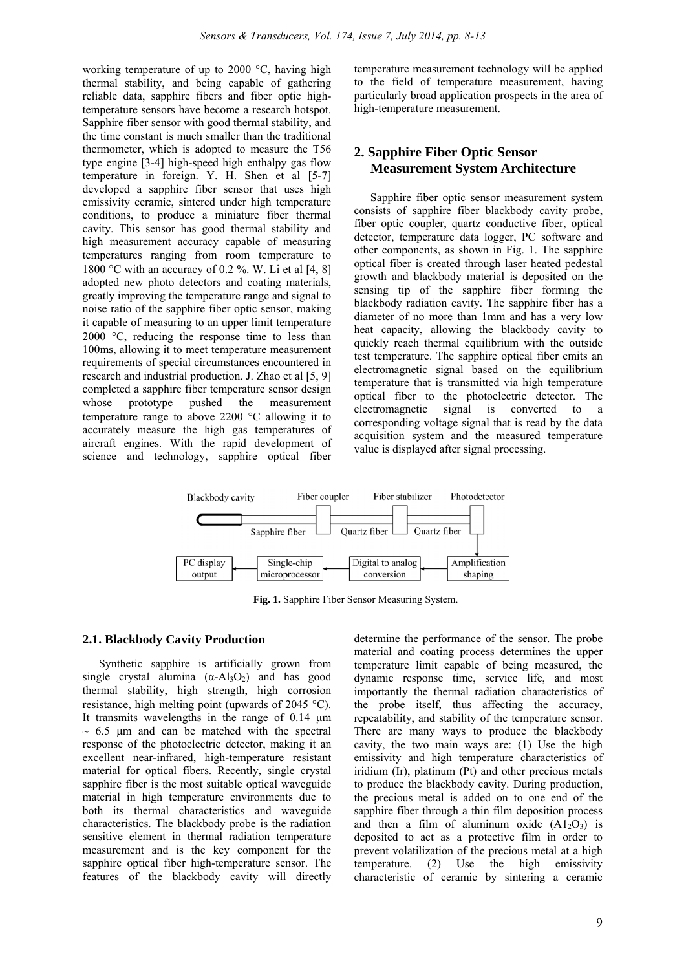working temperature of up to 2000 °C, having high thermal stability, and being capable of gathering reliable data, sapphire fibers and fiber optic hightemperature sensors have become a research hotspot. Sapphire fiber sensor with good thermal stability, and the time constant is much smaller than the traditional thermometer, which is adopted to measure the T56 type engine [3-4] high-speed high enthalpy gas flow temperature in foreign. Y. H. Shen et al [5-7] developed a sapphire fiber sensor that uses high emissivity ceramic, sintered under high temperature conditions, to produce a miniature fiber thermal cavity. This sensor has good thermal stability and high measurement accuracy capable of measuring temperatures ranging from room temperature to 1800 °C with an accuracy of 0.2 %. W. Li et al  $[4, 8]$ adopted new photo detectors and coating materials, greatly improving the temperature range and signal to noise ratio of the sapphire fiber optic sensor, making it capable of measuring to an upper limit temperature 2000 °C, reducing the response time to less than 100ms, allowing it to meet temperature measurement requirements of special circumstances encountered in research and industrial production. J. Zhao et al [5, 9] completed a sapphire fiber temperature sensor design whose prototype pushed the measurement temperature range to above 2200 °C allowing it to accurately measure the high gas temperatures of aircraft engines. With the rapid development of science and technology, sapphire optical fiber temperature measurement technology will be applied to the field of temperature measurement, having particularly broad application prospects in the area of high-temperature measurement.

# **2. Sapphire Fiber Optic Sensor Measurement System Architecture**

 Sapphire fiber optic sensor measurement system consists of sapphire fiber blackbody cavity probe, fiber optic coupler, quartz conductive fiber, optical detector, temperature data logger, PC software and other components, as shown in Fig. 1. The sapphire optical fiber is created through laser heated pedestal growth and blackbody material is deposited on the sensing tip of the sapphire fiber forming the blackbody radiation cavity. The sapphire fiber has a diameter of no more than 1mm and has a very low heat capacity, allowing the blackbody cavity to quickly reach thermal equilibrium with the outside test temperature. The sapphire optical fiber emits an electromagnetic signal based on the equilibrium temperature that is transmitted via high temperature optical fiber to the photoelectric detector. The electromagnetic signal is converted to a signal is converted to a corresponding voltage signal that is read by the data acquisition system and the measured temperature value is displayed after signal processing.



**Fig. 1.** Sapphire Fiber Sensor Measuring System.

## **2.1. Blackbody Cavity Production**

Synthetic sapphire is artificially grown from single crystal alumina  $(\alpha - A_3O_2)$  and has good thermal stability, high strength, high corrosion resistance, high melting point (upwards of 2045 °C). It transmits wavelengths in the range of 0.14 μm  $\sim$  6.5  $\mu$ m and can be matched with the spectral response of the photoelectric detector, making it an excellent near-infrared, high-temperature resistant material for optical fibers. Recently, single crystal sapphire fiber is the most suitable optical waveguide material in high temperature environments due to both its thermal characteristics and waveguide characteristics. The blackbody probe is the radiation sensitive element in thermal radiation temperature measurement and is the key component for the sapphire optical fiber high-temperature sensor. The features of the blackbody cavity will directly

determine the performance of the sensor. The probe material and coating process determines the upper temperature limit capable of being measured, the dynamic response time, service life, and most importantly the thermal radiation characteristics of the probe itself, thus affecting the accuracy, repeatability, and stability of the temperature sensor. There are many ways to produce the blackbody cavity, the two main ways are: (1) Use the high emissivity and high temperature characteristics of iridium (Ir), platinum (Pt) and other precious metals to produce the blackbody cavity. During production, the precious metal is added on to one end of the sapphire fiber through a thin film deposition process and then a film of aluminum oxide  $(A1<sub>2</sub>O<sub>3</sub>)$  is deposited to act as a protective film in order to prevent volatilization of the precious metal at a high temperature. (2) Use the high emissivity characteristic of ceramic by sintering a ceramic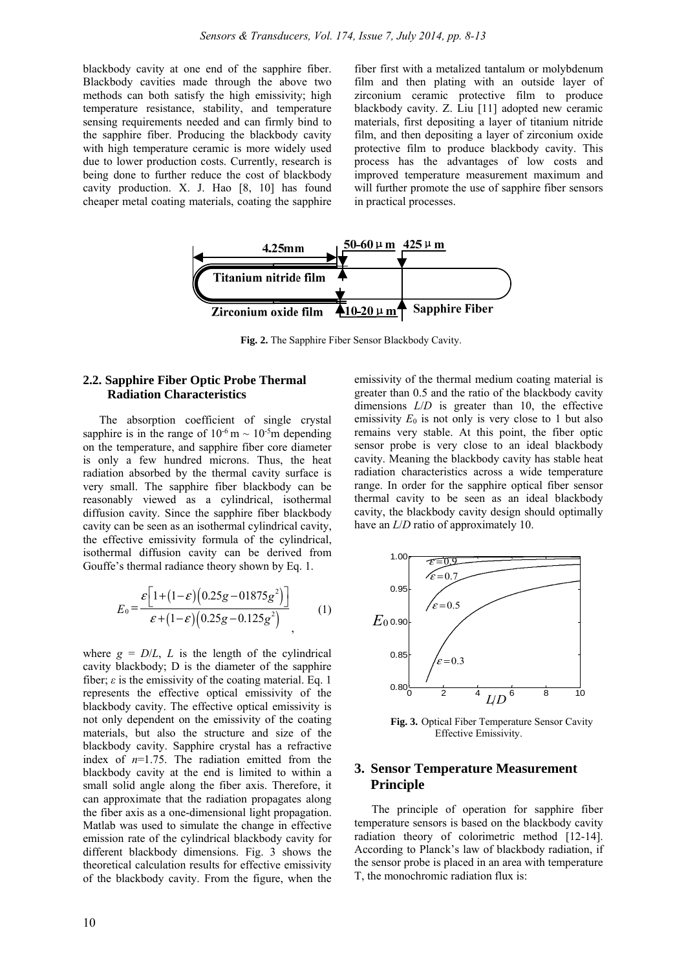blackbody cavity at one end of the sapphire fiber. Blackbody cavities made through the above two methods can both satisfy the high emissivity; high temperature resistance, stability, and temperature sensing requirements needed and can firmly bind to the sapphire fiber. Producing the blackbody cavity with high temperature ceramic is more widely used due to lower production costs. Currently, research is being done to further reduce the cost of blackbody cavity production. X. J. Hao [8, 10] has found cheaper metal coating materials, coating the sapphire

fiber first with a metalized tantalum or molybdenum film and then plating with an outside layer of zirconium ceramic protective film to produce blackbody cavity. Z. Liu [11] adopted new ceramic materials, first depositing a layer of titanium nitride film, and then depositing a layer of zirconium oxide protective film to produce blackbody cavity. This process has the advantages of low costs and improved temperature measurement maximum and will further promote the use of sapphire fiber sensors in practical processes.



**Fig. 2.** The Sapphire Fiber Sensor Blackbody Cavity.

## **2.2. Sapphire Fiber Optic Probe Thermal Radiation Characteristics**

The absorption coefficient of single crystal sapphire is in the range of  $10^{-6}$  m  $\sim 10^{-5}$ m depending on the temperature, and sapphire fiber core diameter is only a few hundred microns. Thus, the heat radiation absorbed by the thermal cavity surface is very small. The sapphire fiber blackbody can be reasonably viewed as a cylindrical, isothermal diffusion cavity. Since the sapphire fiber blackbody cavity can be seen as an isothermal cylindrical cavity, the effective emissivity formula of the cylindrical, isothermal diffusion cavity can be derived from Gouffe's thermal radiance theory shown by Eq. 1.

$$
E_0 = \frac{\varepsilon \left[ 1 + (1 - \varepsilon) \left( 0.25g - 0.1875g^2 \right) \right]}{\varepsilon + (1 - \varepsilon) \left( 0.25g - 0.125g^2 \right)} \tag{1}
$$

where  $g = D/L$ , *L* is the length of the cylindrical cavity blackbody; D is the diameter of the sapphire fiber;  $\varepsilon$  is the emissivity of the coating material. Eq. 1 represents the effective optical emissivity of the blackbody cavity. The effective optical emissivity is not only dependent on the emissivity of the coating materials, but also the structure and size of the blackbody cavity. Sapphire crystal has a refractive index of  $n=1.75$ . The radiation emitted from the blackbody cavity at the end is limited to within a small solid angle along the fiber axis. Therefore, it can approximate that the radiation propagates along the fiber axis as a one-dimensional light propagation. Matlab was used to simulate the change in effective emission rate of the cylindrical blackbody cavity for different blackbody dimensions. Fig. 3 shows the theoretical calculation results for effective emissivity of the blackbody cavity. From the figure, when the

emissivity of the thermal medium coating material is greater than 0.5 and the ratio of the blackbody cavity dimensions *L*/*D* is greater than 10, the effective emissivity  $E_0$  is not only is very close to 1 but also remains very stable. At this point, the fiber optic sensor probe is very close to an ideal blackbody cavity. Meaning the blackbody cavity has stable heat radiation characteristics across a wide temperature range. In order for the sapphire optical fiber sensor thermal cavity to be seen as an ideal blackbody cavity, the blackbody cavity design should optimally have an *L*/*D* ratio of approximately 10.



**Fig. 3.** Optical Fiber Temperature Sensor Cavity Effective Emissivity.

## **3. Sensor Temperature Measurement Principle**

The principle of operation for sapphire fiber temperature sensors is based on the blackbody cavity radiation theory of colorimetric method [12-14]. According to Planck's law of blackbody radiation, if the sensor probe is placed in an area with temperature T, the monochromic radiation flux is: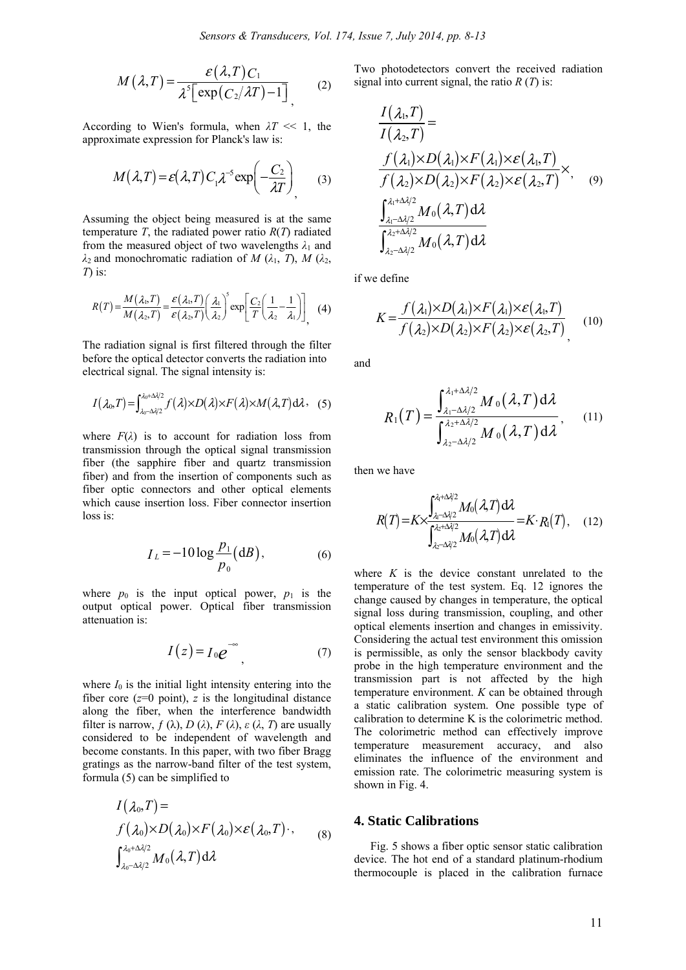$$
M(\lambda, T) = \frac{\varepsilon(\lambda, T)C_1}{\lambda^5 \left[\exp\left(\frac{C_2}{\lambda T}\right) - 1\right]} \tag{2}
$$

According to Wien's formula, when  $\lambda T \ll 1$ , the approximate expression for Planck's law is:

$$
M(\lambda, T) = \varepsilon(\lambda, T) C_1 \lambda^{-5} \exp\left(-\frac{C_2}{\lambda T}\right)
$$
 (3)

Assuming the object being measured is at the same temperature  $T$ , the radiated power ratio  $R(T)$  radiated from the measured object of two wavelengths  $\lambda_1$  and *λ*2 and monochromatic radiation of *M* (*λ*1, *T*), *M* (*λ*2, *T*) is:

$$
R(T) = \frac{M(\lambda_1, T)}{M(\lambda_2, T)} = \frac{\varepsilon(\lambda_1, T)}{\varepsilon(\lambda_2, T)} \left(\frac{\lambda_1}{\lambda_2}\right)^5 \exp\left[\frac{C_2}{T} \left(\frac{1}{\lambda_2} - \frac{1}{\lambda_1}\right)\right], \quad (4)
$$

The radiation signal is first filtered through the filter before the optical detector converts the radiation into electrical signal. The signal intensity is:

$$
I(\lambda_0,T)=\int_{\lambda_0-\Delta\lambda/2}^{\lambda_0+\Delta\lambda/2}f(\lambda)\times D(\lambda)\times F(\lambda)\times M(\lambda,T)d\lambda
$$
 (5)

where  $F(\lambda)$  is to account for radiation loss from transmission through the optical signal transmission fiber (the sapphire fiber and quartz transmission fiber) and from the insertion of components such as fiber optic connectors and other optical elements which cause insertion loss. Fiber connector insertion loss is:

$$
I_L = -10 \log \frac{p_1}{p_0} (dB),
$$
 (6)

where  $p_0$  is the input optical power,  $p_1$  is the output optical power. Optical fiber transmission attenuation is:

$$
I(z) = I_0 e^{-\infty}, \tag{7}
$$

where  $I_0$  is the initial light intensity entering into the fiber core  $(z=0 \text{ point})$ , *z* is the longitudinal distance along the fiber, when the interference bandwidth filter is narrow,  $f(\lambda)$ ,  $D(\lambda)$ ,  $F(\lambda)$ ,  $\varepsilon(\lambda, T)$  are usually considered to be independent of wavelength and become constants. In this paper, with two fiber Bragg gratings as the narrow-band filter of the test system, formula (5) can be simplified to

$$
I(\lambda_0, T) =
$$
  
\n
$$
f(\lambda_0) \times D(\lambda_0) \times F(\lambda_0) \times \varepsilon(\lambda_0, T) \cdot ,
$$
  
\n
$$
\int_{\lambda_0 - \Delta \lambda/2}^{\lambda_0 + \Delta \lambda/2} M_0(\lambda, T) d\lambda
$$
 (8)

Two photodetectors convert the received radiation signal into current signal, the ratio *R* (*T*) is:

$$
\frac{I(\lambda_{1},T)}{I(\lambda_{2},T)} =
$$
\n
$$
\frac{f(\lambda_{1})\times D(\lambda_{1})\times F(\lambda_{1})\times \varepsilon(\lambda_{1},T)}{f(\lambda_{2})\times D(\lambda_{2})\times F(\lambda_{2})\times \varepsilon(\lambda_{2},T)} \times,
$$
\n
$$
\frac{\int_{\lambda_{1}-\Delta\lambda/2}^{\lambda_{1}+\Delta\lambda/2} M_{0}(\lambda,T) d\lambda}{\int_{\lambda_{2}-\Delta\lambda/2}^{\lambda_{2}+\Delta\lambda/2} M_{0}(\lambda,T) d\lambda}
$$
\n(9)

if we define

$$
K = \frac{f(\lambda_1) \times D(\lambda_1) \times F(\lambda_1) \times \varepsilon(\lambda_1, T)}{f(\lambda_2) \times D(\lambda_2) \times F(\lambda_2) \times \varepsilon(\lambda_2, T)},
$$
 (10)

and

$$
R_1(T) = \frac{\int_{\lambda_1 - \Delta \lambda/2}^{\lambda_1 + \Delta \lambda/2} M_0(\lambda, T) d\lambda}{\int_{\lambda_2 - \Delta \lambda/2}^{\lambda_2 + \Delta \lambda/2} M_0(\lambda, T) d\lambda},
$$
 (11)

then we have

$$
R(T) = K \times \frac{\int_{\lambda_1 - \Delta/2}^{\lambda_1 + \Delta/2} M_0(\lambda, T) d\lambda}{\int_{\lambda_2 - \Delta/2}^{\lambda_2 + \Delta/2} M_0(\lambda, T) d\lambda} = K \cdot R_1(T), \quad (12)
$$

where  $K$  is the device constant unrelated to the temperature of the test system. Eq. 12 ignores the change caused by changes in temperature, the optical signal loss during transmission, coupling, and other optical elements insertion and changes in emissivity. Considering the actual test environment this omission is permissible, as only the sensor blackbody cavity probe in the high temperature environment and the transmission part is not affected by the high temperature environment. *K* can be obtained through a static calibration system. One possible type of calibration to determine K is the colorimetric method. The colorimetric method can effectively improve temperature measurement accuracy, and also eliminates the influence of the environment and emission rate. The colorimetric measuring system is shown in Fig. 4.

#### **4. Static Calibrations**

Fig. 5 shows a fiber optic sensor static calibration device. The hot end of a standard platinum-rhodium thermocouple is placed in the calibration furnace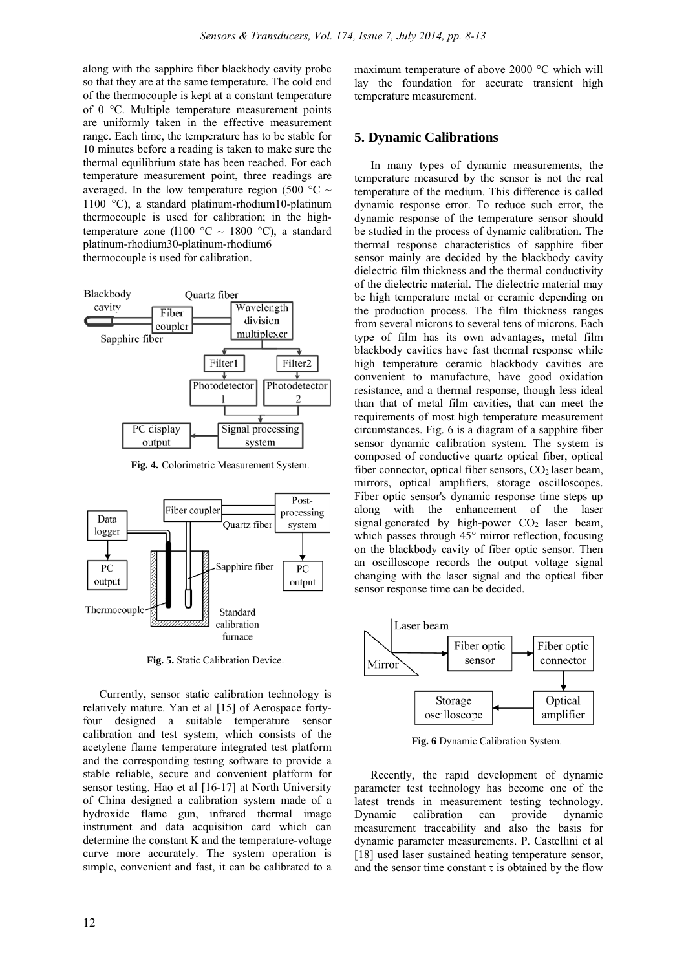along with the sapphire fiber blackbody cavity probe so that they are at the same temperature. The cold end of the thermocouple is kept at a constant temperature of 0 °C. Multiple temperature measurement points are uniformly taken in the effective measurement range. Each time, the temperature has to be stable for 10 minutes before a reading is taken to make sure the thermal equilibrium state has been reached. For each temperature measurement point, three readings are averaged. In the low temperature region (500  $\degree$ C ~ 1100 °C), a standard platinum-rhodium10-platinum thermocouple is used for calibration; in the hightemperature zone (1100 °C ~ 1800 °C), a standard platinum-rhodium30-platinum-rhodium6 thermocouple is used for calibration.



**Fig. 4.** Colorimetric Measurement System.



**Fig. 5.** Static Calibration Device.

 Currently, sensor static calibration technology is relatively mature. Yan et al [15] of Aerospace fortyfour designed a suitable temperature sensor calibration and test system, which consists of the acetylene flame temperature integrated test platform and the corresponding testing software to provide a stable reliable, secure and convenient platform for sensor testing. Hao et al [16-17] at North University of China designed a calibration system made of a hydroxide flame gun, infrared thermal image instrument and data acquisition card which can determine the constant K and the temperature-voltage curve more accurately. The system operation is simple, convenient and fast, it can be calibrated to a

maximum temperature of above 2000 °C which will lay the foundation for accurate transient high temperature measurement.

## **5. Dynamic Calibrations**

In many types of dynamic measurements, the temperature measured by the sensor is not the real temperature of the medium. This difference is called dynamic response error. To reduce such error, the dynamic response of the temperature sensor should be studied in the process of dynamic calibration. The thermal response characteristics of sapphire fiber sensor mainly are decided by the blackbody cavity dielectric film thickness and the thermal conductivity of the dielectric material. The dielectric material may be high temperature metal or ceramic depending on the production process. The film thickness ranges from several microns to several tens of microns. Each type of film has its own advantages, metal film blackbody cavities have fast thermal response while high temperature ceramic blackbody cavities are convenient to manufacture, have good oxidation resistance, and a thermal response, though less ideal than that of metal film cavities, that can meet the requirements of most high temperature measurement circumstances. Fig. 6 is a diagram of a sapphire fiber sensor dynamic calibration system. The system is composed of conductive quartz optical fiber, optical fiber connector, optical fiber sensors,  $CO<sub>2</sub>$  laser beam, mirrors, optical amplifiers, storage oscilloscopes. Fiber optic sensor's dynamic response time steps up along with the enhancement of the laser signal generated by high-power  $CO<sub>2</sub>$  laser beam, which passes through 45° mirror reflection, focusing on the blackbody cavity of fiber optic sensor. Then an oscilloscope records the output voltage signal changing with the laser signal and the optical fiber sensor response time can be decided.



**Fig. 6** Dynamic Calibration System.

Recently, the rapid development of dynamic parameter test technology has become one of the latest trends in measurement testing technology. Dynamic calibration can provide dynamic measurement traceability and also the basis for dynamic parameter measurements. P. Castellini et al [18] used laser sustained heating temperature sensor, and the sensor time constant  $\tau$  is obtained by the flow